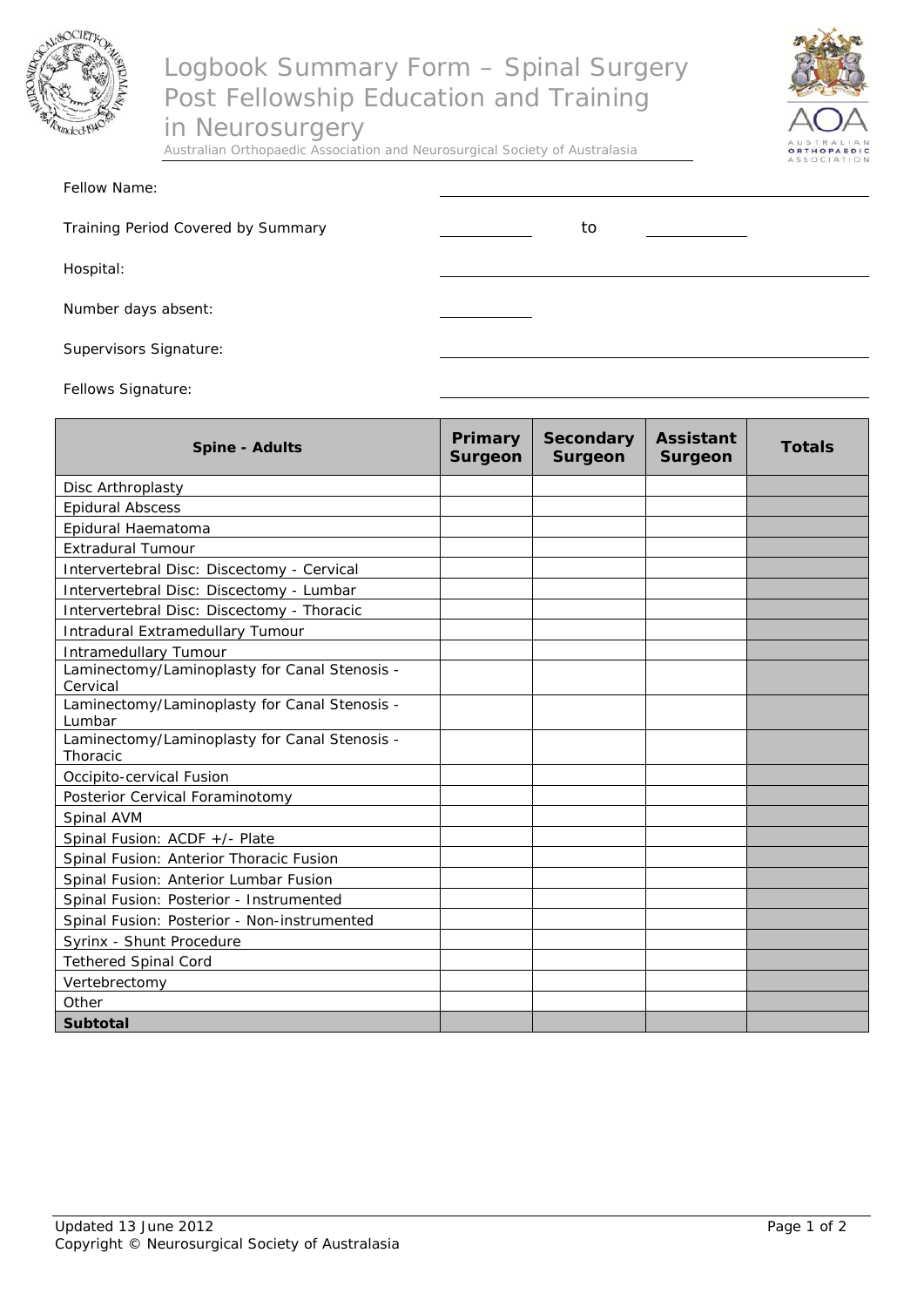

## Logbook Summary Form – Spinal Surgery Post Fellowship Education and Training

in Neurosurgery

Australian Orthopaedic Association and Neurosurgical Society of Australasia



| Fellow Name: |  |
|--------------|--|
|              |  |

Training Period Covered by Summary Training Period Covered by Summary

Hospital:

Number days absent:

Supervisors Signature:

Fellows Signature:

| <b>Spine - Adults</b>                                     | Primary<br><b>Surgeon</b> | <b>Secondary</b><br><b>Surgeon</b> | <b>Assistant</b><br>Surgeon | <b>Totals</b> |
|-----------------------------------------------------------|---------------------------|------------------------------------|-----------------------------|---------------|
| Disc Arthroplasty                                         |                           |                                    |                             |               |
| <b>Epidural Abscess</b>                                   |                           |                                    |                             |               |
| Epidural Haematoma                                        |                           |                                    |                             |               |
| <b>Extradural Tumour</b>                                  |                           |                                    |                             |               |
| Intervertebral Disc: Discectomy - Cervical                |                           |                                    |                             |               |
| Intervertebral Disc: Discectomy - Lumbar                  |                           |                                    |                             |               |
| Intervertebral Disc: Discectomy - Thoracic                |                           |                                    |                             |               |
| Intradural Extramedullary Tumour                          |                           |                                    |                             |               |
| <b>Intramedullary Tumour</b>                              |                           |                                    |                             |               |
| Laminectomy/Laminoplasty for Canal Stenosis -<br>Cervical |                           |                                    |                             |               |
| Laminectomy/Laminoplasty for Canal Stenosis -<br>Lumbar   |                           |                                    |                             |               |
| Laminectomy/Laminoplasty for Canal Stenosis -<br>Thoracic |                           |                                    |                             |               |
| Occipito-cervical Fusion                                  |                           |                                    |                             |               |
| Posterior Cervical Foraminotomy                           |                           |                                    |                             |               |
| Spinal AVM                                                |                           |                                    |                             |               |
| Spinal Fusion: ACDF +/- Plate                             |                           |                                    |                             |               |
| Spinal Fusion: Anterior Thoracic Fusion                   |                           |                                    |                             |               |
| Spinal Fusion: Anterior Lumbar Fusion                     |                           |                                    |                             |               |
| Spinal Fusion: Posterior - Instrumented                   |                           |                                    |                             |               |
| Spinal Fusion: Posterior - Non-instrumented               |                           |                                    |                             |               |
| Syrinx - Shunt Procedure                                  |                           |                                    |                             |               |
| <b>Tethered Spinal Cord</b>                               |                           |                                    |                             |               |
| Vertebrectomy                                             |                           |                                    |                             |               |
| Other                                                     |                           |                                    |                             |               |
| <b>Subtotal</b>                                           |                           |                                    |                             |               |